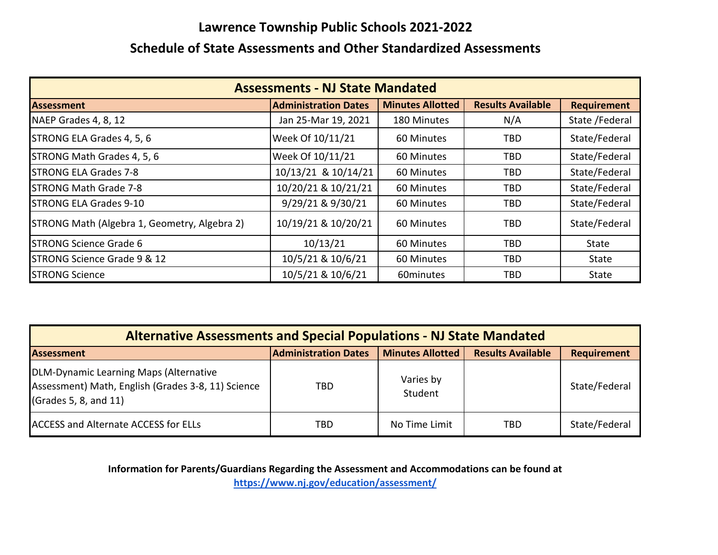## **Lawrence Township Public Schools 2021‐2022**

## **Schedule of State Assessments and Other Standardized Assessments**

| <b>Assessments - NJ State Mandated</b>       |                             |                         |                          |                    |  |  |  |
|----------------------------------------------|-----------------------------|-------------------------|--------------------------|--------------------|--|--|--|
| <b>Assessment</b>                            | <b>Administration Dates</b> | <b>Minutes Allotted</b> | <b>Results Available</b> | <b>Requirement</b> |  |  |  |
| NAEP Grades 4, 8, 12                         | Jan 25-Mar 19, 2021         | 180 Minutes             | N/A                      | State /Federal     |  |  |  |
| STRONG ELA Grades 4, 5, 6                    | Week Of 10/11/21            | 60 Minutes              | TBD                      | State/Federal      |  |  |  |
| STRONG Math Grades 4, 5, 6                   | Week Of 10/11/21            | 60 Minutes              | <b>TBD</b>               | State/Federal      |  |  |  |
| <b>STRONG ELA Grades 7-8</b>                 | 10/13/21 & 10/14/21         | 60 Minutes              | TBD                      | State/Federal      |  |  |  |
| <b>STRONG Math Grade 7-8</b>                 | 10/20/21 & 10/21/21         | 60 Minutes              | <b>TBD</b>               | State/Federal      |  |  |  |
| <b>STRONG ELA Grades 9-10</b>                | 9/29/21 & 9/30/21           | 60 Minutes              | TBD                      | State/Federal      |  |  |  |
| STRONG Math (Algebra 1, Geometry, Algebra 2) | 10/19/21 & 10/20/21         | 60 Minutes              | <b>TBD</b>               | State/Federal      |  |  |  |
| <b>STRONG Science Grade 6</b>                | 10/13/21                    | 60 Minutes              | TBD                      | State              |  |  |  |
| STRONG Science Grade 9 & 12                  | 10/5/21 & 10/6/21           | 60 Minutes              | TBD                      | State              |  |  |  |
| <b>STRONG Science</b>                        | 10/5/21 & 10/6/21           | 60minutes               | <b>TBD</b>               | State              |  |  |  |

| <b>Alternative Assessments and Special Populations - NJ State Mandated</b>                                            |                             |                         |                          |                    |  |  |  |
|-----------------------------------------------------------------------------------------------------------------------|-----------------------------|-------------------------|--------------------------|--------------------|--|--|--|
| <b>Assessment</b>                                                                                                     | <b>Administration Dates</b> | <b>Minutes Allotted</b> | <b>Results Available</b> | <b>Requirement</b> |  |  |  |
| DLM-Dynamic Learning Maps (Alternative<br>Assessment) Math, English (Grades 3-8, 11) Science<br>(Grades 5, 8, and 11) | TBD                         | Varies by<br>Student    |                          | State/Federal      |  |  |  |
| <b>ACCESS and Alternate ACCESS for ELLs</b>                                                                           | TBD                         | No Time Limit           | TBD                      | State/Federal      |  |  |  |

**Information for Parents/Guardians Regarding the Assessment and Accommodations can be found at**

**https://www.nj.gov/education/assessment/**